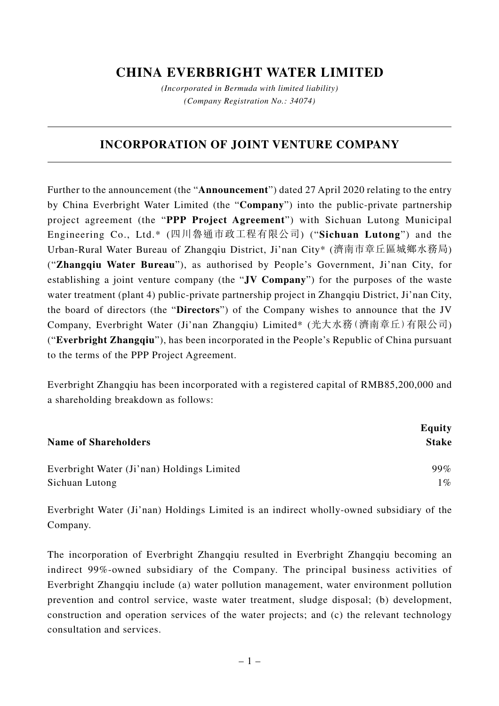## **CHINA EVERBRIGHT WATER LIMITED**

*(Incorporated in Bermuda with limited liability) (Company Registration No.: 34074)*

## **INCORPORATION OF JOINT VENTURE COMPANY**

Further to the announcement (the "**Announcement**") dated 27 April 2020 relating to the entry by China Everbright Water Limited (the "**Company**") into the public-private partnership project agreement (the "**PPP Project Agreement**") with Sichuan Lutong Municipal Engineering Co., Ltd.\* (四川魯通市政工程有限公司) ("**Sichuan Lutong**") and the Urban-Rural Water Bureau of Zhangqiu District, Ji'nan City\* (濟南市章丘區城鄉水務局) ("**Zhangqiu Water Bureau**"), as authorised by People's Government, Ji'nan City, for establishing a joint venture company (the "**JV Company**") for the purposes of the waste water treatment (plant 4) public-private partnership project in Zhangqiu District, Ji'nan City, the board of directors (the "**Directors**") of the Company wishes to announce that the JV Company, Everbright Water (Ji'nan Zhangqiu) Limited\* (光大水務(濟南章丘)有限公司) ("**Everbright Zhangqiu**"), has been incorporated in the People's Republic of China pursuant to the terms of the PPP Project Agreement.

Everbright Zhangqiu has been incorporated with a registered capital of RMB85,200,000 and a shareholding breakdown as follows:

| <b>Name of Shareholders</b> | Equity<br>Stake |
|-----------------------------|-----------------|
|                             |                 |
| Sichuan Lutong              | $1\%$           |

Everbright Water (Ji'nan) Holdings Limited is an indirect wholly-owned subsidiary of the Company.

The incorporation of Everbright Zhangqiu resulted in Everbright Zhangqiu becoming an indirect 99%-owned subsidiary of the Company. The principal business activities of Everbright Zhangqiu include (a) water pollution management, water environment pollution prevention and control service, waste water treatment, sludge disposal; (b) development, construction and operation services of the water projects; and (c) the relevant technology consultation and services.